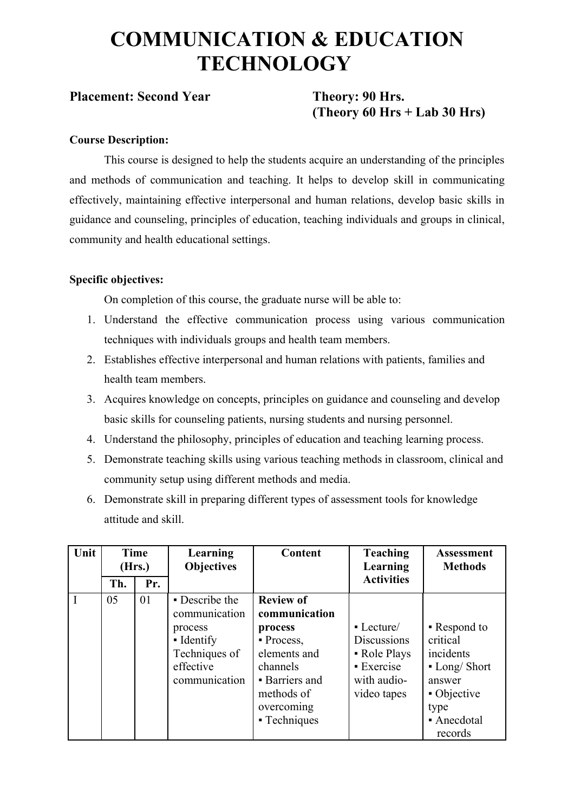## **COMMUNICATION & EDUCATION TECHNOLOGY**

#### **Placement: Second Year Theory: 90 Hrs.**

# **(Theory 60 Hrs + Lab 30 Hrs)**

#### **Course Description:**

This course is designed to help the students acquire an understanding of the principles and methods of communication and teaching. It helps to develop skill in communicating effectively, maintaining effective interpersonal and human relations, develop basic skills in guidance and counseling, principles of education, teaching individuals and groups in clinical, community and health educational settings.

#### **Specific objectives:**

On completion of this course, the graduate nurse will be able to:

- 1. Understand the effective communication process using various communication techniques with individuals groups and health team members.
- 2. Establishes effective interpersonal and human relations with patients, families and health team members.
- 3. Acquires knowledge on concepts, principles on guidance and counseling and develop basic skills for counseling patients, nursing students and nursing personnel.
- 4. Understand the philosophy, principles of education and teaching learning process.
- 5. Demonstrate teaching skills using various teaching methods in classroom, clinical and community setup using different methods and media.
- 6. Demonstrate skill in preparing different types of assessment tools for knowledge attitude and skill.

| Unit        | Time<br>(Hrs.) |     | <b>Learning</b><br><b>Objectives</b>                                                                    | <b>Content</b>                                                                                                                                                    | <b>Teaching</b><br>Learning                                                                              | <b>Assessment</b><br><b>Methods</b>                                                                               |
|-------------|----------------|-----|---------------------------------------------------------------------------------------------------------|-------------------------------------------------------------------------------------------------------------------------------------------------------------------|----------------------------------------------------------------------------------------------------------|-------------------------------------------------------------------------------------------------------------------|
|             | Th.            | Pr. |                                                                                                         |                                                                                                                                                                   | <b>Activities</b>                                                                                        |                                                                                                                   |
| $\mathbf I$ | 05             | 01  | • Describe the<br>communication<br>process<br>• Identify<br>Techniques of<br>effective<br>communication | <b>Review of</b><br>communication<br>process<br>$\blacksquare$ Process,<br>elements and<br>channels<br>• Barriers and<br>methods of<br>overcoming<br>- Techniques | $\blacksquare$ Lecture<br><b>Discussions</b><br>• Role Plays<br>• Exercise<br>with audio-<br>video tapes | • Respond to<br>critical<br>incidents<br>$-Long/Short$<br>answer<br>• Objective<br>type<br>• Anecdotal<br>records |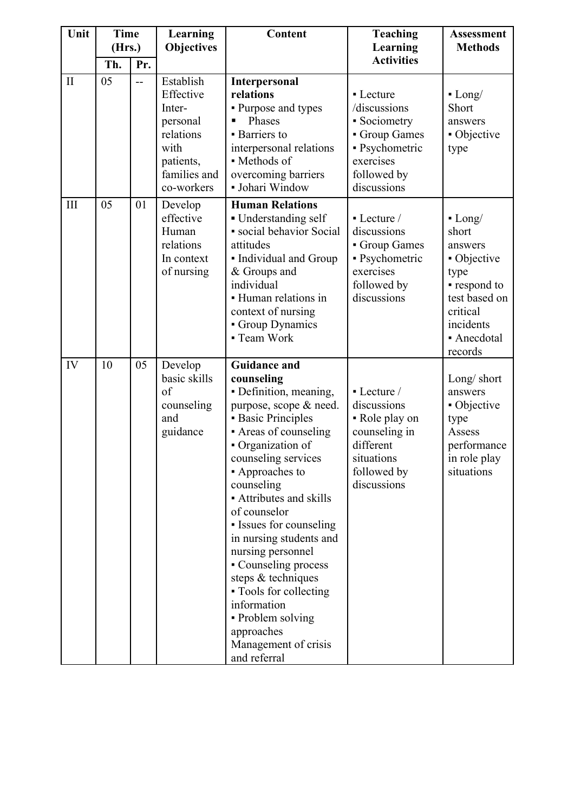| Unit         | <b>Time</b><br>(Hrs.) |     | Learning                                                                                                     | Content                                                                                                                                                                                                                                                                                                                                                                                                                                                                                                        | <b>Teaching</b>                                                                                                        | <b>Assessment</b><br><b>Methods</b>                                                                                                     |  |
|--------------|-----------------------|-----|--------------------------------------------------------------------------------------------------------------|----------------------------------------------------------------------------------------------------------------------------------------------------------------------------------------------------------------------------------------------------------------------------------------------------------------------------------------------------------------------------------------------------------------------------------------------------------------------------------------------------------------|------------------------------------------------------------------------------------------------------------------------|-----------------------------------------------------------------------------------------------------------------------------------------|--|
|              | Th.                   | Pr. | <b>Objectives</b>                                                                                            |                                                                                                                                                                                                                                                                                                                                                                                                                                                                                                                | Learning<br><b>Activities</b>                                                                                          |                                                                                                                                         |  |
| $\mathbf{I}$ | 05                    | $-$ | Establish<br>Effective<br>Inter-<br>personal<br>relations<br>with<br>patients,<br>families and<br>co-workers | Interpersonal<br>relations<br>- Purpose and types<br>Phases<br>$\blacksquare$<br><b>Barriers</b> to<br>interpersonal relations<br>• Methods of<br>overcoming barriers<br>· Johari Window                                                                                                                                                                                                                                                                                                                       | • Lecture<br>/discussions<br>• Sociometry<br>Group Games<br>• Psychometric<br>exercises<br>followed by<br>discussions  | $-Long/$<br>Short<br>answers<br>• Objective<br>type                                                                                     |  |
| III          | 05                    | 01  | Develop<br>effective<br>Human<br>relations<br>In context<br>of nursing                                       | <b>Human Relations</b><br>• Understanding self<br>· social behavior Social<br>attitudes<br>· Individual and Group<br>& Groups and<br>individual<br>• Human relations in<br>context of nursing<br>Group Dynamics<br>- Team Work                                                                                                                                                                                                                                                                                 | • Lecture /<br>discussions<br>Group Games<br>· Psychometric<br>exercises<br>followed by<br>discussions                 | $-Long/$<br>short<br>answers<br>• Objective<br>type<br>• respond to<br>test based on<br>critical<br>incidents<br>• Anecdotal<br>records |  |
| IV           | 10                    | 05  | Develop<br>basic skills<br>of<br>counseling<br>and<br>guidance                                               | <b>Guidance and</b><br>counseling<br>• Definition, meaning,<br>purpose, scope & need.<br><b>Basic Principles</b><br>- Areas of counseling<br>• Organization of<br>counseling services<br>• Approaches to<br>counseling<br>• Attributes and skills<br>of counselor<br>• Issues for counseling<br>in nursing students and<br>nursing personnel<br>- Counseling process<br>steps & techniques<br>• Tools for collecting<br>information<br>• Problem solving<br>approaches<br>Management of crisis<br>and referral | • Lecture /<br>discussions<br>• Role play on<br>counseling in<br>different<br>situations<br>followed by<br>discussions | Long/ short<br>answers<br>• Objective<br>type<br>Assess<br>performance<br>in role play<br>situations                                    |  |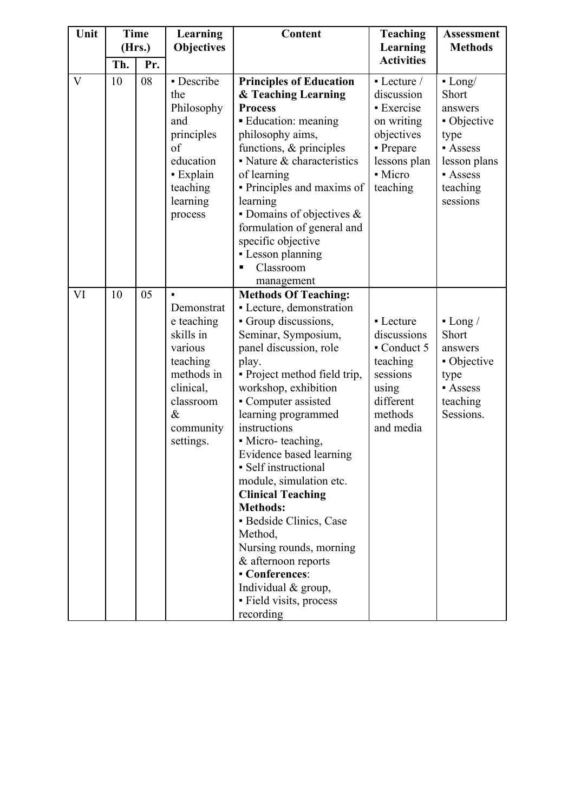| Unit         | <b>Time</b> |     | (Hrs.)                                                                                                                                 |                                                                                                                                                                                                                                                                                                                                                                                                                                                                                                                                                                                                          | <b>Learning</b>                                                                                                              | Content                                                                                                                | <b>Teaching</b> | <b>Assessment</b><br><b>Methods</b> |
|--------------|-------------|-----|----------------------------------------------------------------------------------------------------------------------------------------|----------------------------------------------------------------------------------------------------------------------------------------------------------------------------------------------------------------------------------------------------------------------------------------------------------------------------------------------------------------------------------------------------------------------------------------------------------------------------------------------------------------------------------------------------------------------------------------------------------|------------------------------------------------------------------------------------------------------------------------------|------------------------------------------------------------------------------------------------------------------------|-----------------|-------------------------------------|
|              | Th.         | Pr. | <b>Objectives</b>                                                                                                                      |                                                                                                                                                                                                                                                                                                                                                                                                                                                                                                                                                                                                          | Learning<br><b>Activities</b>                                                                                                |                                                                                                                        |                 |                                     |
| $\mathbf{V}$ | 10          | 08  | - Describe<br>the<br>Philosophy<br>and<br>principles<br>of<br>education<br>- Explain<br>teaching<br>learning<br>process                | <b>Principles of Education</b><br>& Teaching Learning<br><b>Process</b><br>• Education: meaning<br>philosophy aims,<br>functions, & principles<br>$\blacksquare$ Nature & characteristics<br>of learning<br>• Principles and maxims of<br>learning<br>• Domains of objectives $\&$<br>formulation of general and<br>specific objective<br>- Lesson planning<br>Classroom                                                                                                                                                                                                                                 | • Lecture /<br>discussion<br><b>Exercise</b><br>on writing<br>objectives<br>- Prepare<br>lessons plan<br>• Micro<br>teaching | $-Long/$<br>Short<br>answers<br>• Objective<br>type<br><b>Assess</b><br>lesson plans<br>Assess<br>teaching<br>sessions |                 |                                     |
| VI           | 10          | 05  | Demonstrat<br>e teaching<br>skills in<br>various<br>teaching<br>methods in<br>clinical,<br>classroom<br>$\&$<br>community<br>settings. | management<br><b>Methods Of Teaching:</b><br>- Lecture, demonstration<br>• Group discussions,<br>Seminar, Symposium,<br>panel discussion, role<br>play.<br>• Project method field trip,<br>workshop, exhibition<br>- Computer assisted<br>learning programmed<br>instructions<br>• Micro-teaching,<br>Evidence based learning<br>• Self instructional<br>module, simulation etc.<br><b>Clinical Teaching</b><br><b>Methods:</b><br>· Bedside Clinics, Case<br>Method,<br>Nursing rounds, morning<br>& afternoon reports<br>- Conferences:<br>Individual & group,<br>- Field visits, process<br>recording | • Lecture<br>discussions<br>Conduct 5<br>teaching<br>sessions<br>using<br>different<br>methods<br>and media                  | $-Long/$<br>Short<br>answers<br>• Objective<br>type<br><b>Assess</b><br>teaching<br>Sessions.                          |                 |                                     |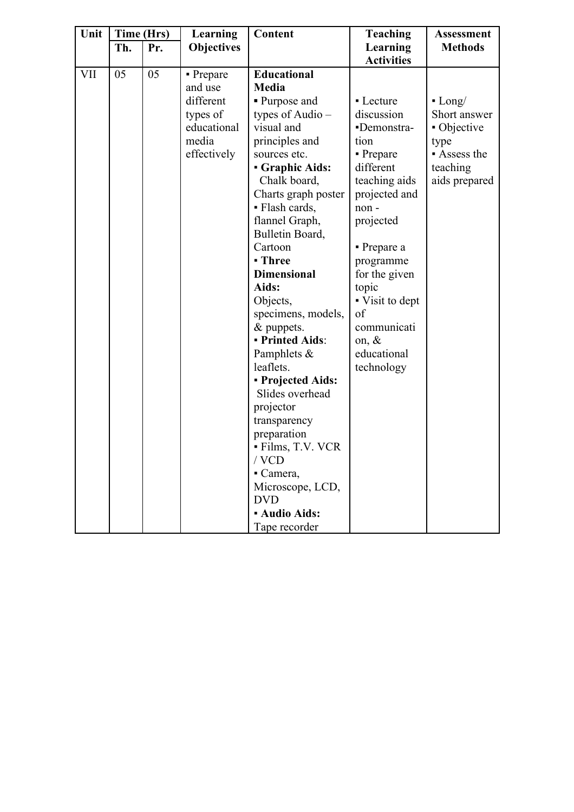| Unit       | Time (Hrs) |     | Learning          | Content                              | <b>Teaching</b>          | <b>Assessment</b> |
|------------|------------|-----|-------------------|--------------------------------------|--------------------------|-------------------|
|            | Th.        | Pr. | <b>Objectives</b> |                                      | Learning                 | <b>Methods</b>    |
|            |            |     |                   |                                      | <b>Activities</b>        |                   |
| <b>VII</b> | 05         | 05  | • Prepare         | <b>Educational</b>                   |                          |                   |
|            |            |     | and use           | Media                                |                          |                   |
|            |            |     | different         | • Purpose and                        | • Lecture                | $-Long/$          |
|            |            |     | types of          | types of Audio $-$                   | discussion               | Short answer      |
|            |            |     | educational       | visual and                           | -Demonstra-              | • Objective       |
|            |            |     | media             | principles and                       | tion                     | type              |
|            |            |     | effectively       | sources etc.                         | • Prepare                | Assess the        |
|            |            |     |                   | <b>Graphic Aids:</b>                 | different                | teaching          |
|            |            |     |                   | Chalk board,                         | teaching aids            | aids prepared     |
|            |            |     |                   | Charts graph poster                  | projected and            |                   |
|            |            |     |                   | • Flash cards,                       | non-                     |                   |
|            |            |     |                   | flannel Graph,                       | projected                |                   |
|            |            |     |                   | Bulletin Board,                      |                          |                   |
|            |            |     |                   | Cartoon                              | $\blacksquare$ Prepare a |                   |
|            |            |     |                   | - Three                              | programme                |                   |
|            |            |     |                   | <b>Dimensional</b>                   | for the given            |                   |
|            |            |     |                   | Aids:                                | topic                    |                   |
|            |            |     |                   | Objects,                             | • Visit to dept<br>of    |                   |
|            |            |     |                   | specimens, models,                   | communicati              |                   |
|            |            |     |                   | & puppets.<br><b>- Printed Aids:</b> | on, &                    |                   |
|            |            |     |                   | Pamphlets &                          | educational              |                   |
|            |            |     |                   | leaflets.                            | technology               |                   |
|            |            |     |                   | - Projected Aids:                    |                          |                   |
|            |            |     |                   | Slides overhead                      |                          |                   |
|            |            |     |                   | projector                            |                          |                   |
|            |            |     |                   | transparency                         |                          |                   |
|            |            |     |                   | preparation                          |                          |                   |
|            |            |     |                   | - Films, T.V. VCR                    |                          |                   |
|            |            |     |                   | / VCD                                |                          |                   |
|            |            |     |                   | $\blacksquare$ Camera,               |                          |                   |
|            |            |     |                   | Microscope, LCD,                     |                          |                   |
|            |            |     |                   | <b>DVD</b>                           |                          |                   |
|            |            |     |                   | <b>- Audio Aids:</b>                 |                          |                   |
|            |            |     |                   | Tape recorder                        |                          |                   |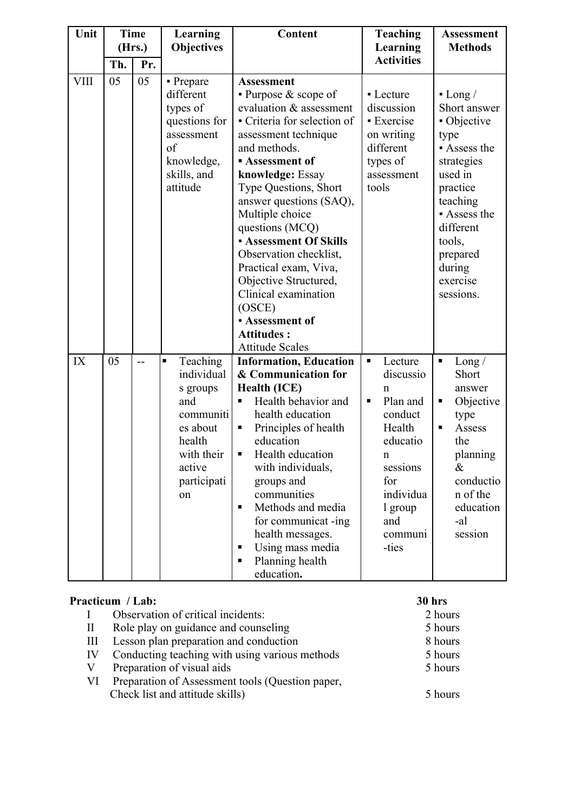| Unit        | <b>Time</b><br>(Hrs.) |     | Learning<br><b>Objectives</b>                                                                                                               | Content                                                                                                                                                                                                                                                                                                                                                                                                                                                                                              | <b>Teaching</b><br>Learning                                                                                                                                               | <b>Assessment</b><br><b>Methods</b>                                                                                                                                                                |
|-------------|-----------------------|-----|---------------------------------------------------------------------------------------------------------------------------------------------|------------------------------------------------------------------------------------------------------------------------------------------------------------------------------------------------------------------------------------------------------------------------------------------------------------------------------------------------------------------------------------------------------------------------------------------------------------------------------------------------------|---------------------------------------------------------------------------------------------------------------------------------------------------------------------------|----------------------------------------------------------------------------------------------------------------------------------------------------------------------------------------------------|
|             | Th.                   | Pr. |                                                                                                                                             |                                                                                                                                                                                                                                                                                                                                                                                                                                                                                                      | <b>Activities</b>                                                                                                                                                         |                                                                                                                                                                                                    |
| <b>VIII</b> | 05                    | 05  | - Prepare<br>different<br>types of<br>questions for<br>assessment<br>of<br>knowledge,<br>skills, and<br>attitude                            | <b>Assessment</b><br>• Purpose $&$ scope of<br>evaluation & assessment<br>- Criteria for selection of<br>assessment technique<br>and methods.<br><b>Assessment of</b><br>knowledge: Essay<br><b>Type Questions, Short</b><br>answer questions (SAQ),<br>Multiple choice<br>questions (MCQ)<br>- Assessment Of Skills<br>Observation checklist,<br>Practical exam, Viva,<br>Objective Structured,<br>Clinical examination<br>(OSCE)<br>- Assessment of<br><b>Attitudes:</b><br><b>Attitude Scales</b> | • Lecture<br>discussion<br><b>Exercise</b><br>on writing<br>different<br>types of<br>assessment<br>tools                                                                  | $-Long/$<br>Short answer<br>• Objective<br>type<br>Assess the<br>strategies<br>used in<br>practice<br>teaching<br>Assess the<br>different<br>tools,<br>prepared<br>during<br>exercise<br>sessions. |
| IX          | 05                    | $-$ | Teaching<br>$\blacksquare$<br>individual<br>s groups<br>and<br>communiti<br>es about<br>health<br>with their<br>active<br>participati<br>on | <b>Information, Education</b><br>& Communication for<br><b>Health (ICE)</b><br>Health behavior and<br>health education<br>Principles of health<br>п<br>education<br>Health education<br>п<br>with individuals,<br>groups and<br>communities<br>Methods and media<br>$\blacksquare$<br>for communicat -ing<br>health messages.<br>Using mass media<br>٠<br>Planning health<br>٠<br>education.                                                                                                         | Lecture<br>$\blacksquare$<br>discussio<br>n<br>Plan and<br>П<br>conduct<br>Health<br>educatio<br>n.<br>sessions<br>for<br>individua<br>1 group<br>and<br>communi<br>-ties | Long/<br>٠<br>Short<br>answer<br>Objective<br>Е<br>type<br>Assess<br>п<br>the<br>planning<br>&<br>conductio<br>n of the<br>education<br>-al<br>session                                             |

#### **Practicum / Lab: 30 hrs**

| $\mathbf{I}$ | Observation of critical incidents:               | 2 hours |
|--------------|--------------------------------------------------|---------|
| $\mathbf{I}$ | Role play on guidance and counseling             | 5 hours |
| Ш            | Lesson plan preparation and conduction           | 8 hours |
| IV           | Conducting teaching with using various methods   | 5 hours |
| V            | Preparation of visual aids                       | 5 hours |
| VI           | Preparation of Assessment tools (Question paper, |         |
|              | Check list and attitude skills)                  | 5 hours |
|              |                                                  |         |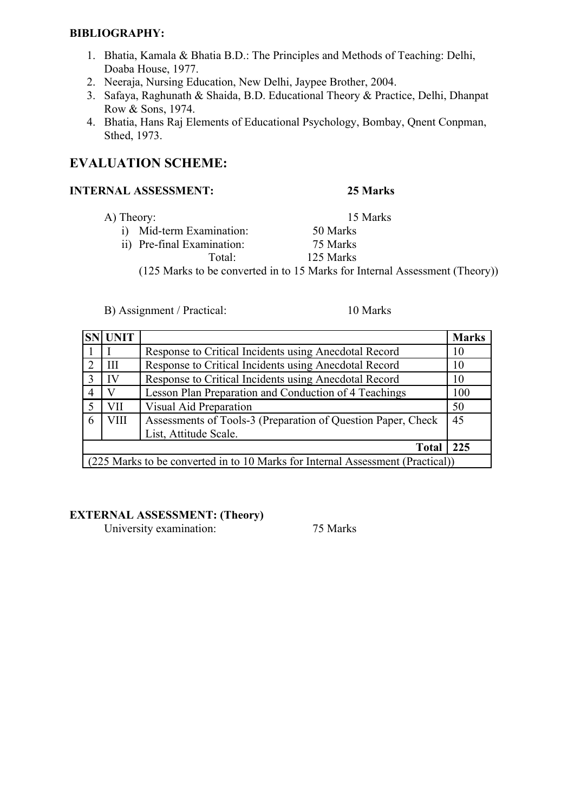#### **BIBLIOGRAPHY:**

- 1. Bhatia, Kamala & Bhatia B.D.: The Principles and Methods of Teaching: Delhi, Doaba House, 1977.
- 2. Neeraja, Nursing Education, New Delhi, Jaypee Brother, 2004.
- 3. Safaya, Raghunath & Shaida, B.D. Educational Theory & Practice, Delhi, Dhanpat Row & Sons, 1974.
- 4. Bhatia, Hans Raj Elements of Educational Psychology, Bombay, Qnent Conpman, Sthed, 1973.

#### **EVALUATION SCHEME:**

#### **INTERNAL ASSESSMENT: 25 Marks**

- A) Theory: 15 Marks
	- i) Mid-term Examination: 50 Marks
	- ii) Pre-final Examination: 75 Marks

Total: 125 Marks

(125 Marks to be converted in to 15 Marks for Internal Assessment (Theory))

B) Assignment / Practical: 10 Marks

|                             | <b>SN UNIT</b>                                                                 |                                                              | <b>Marks</b> |  |  |
|-----------------------------|--------------------------------------------------------------------------------|--------------------------------------------------------------|--------------|--|--|
|                             |                                                                                | Response to Critical Incidents using Anecdotal Record        | 10           |  |  |
| $\mathcal{D}_{\mathcal{L}}$ | III                                                                            | Response to Critical Incidents using Anecdotal Record        | 10           |  |  |
| $\mathcal{E}$               | IV                                                                             | Response to Critical Incidents using Anecdotal Record        | 10           |  |  |
| 4                           |                                                                                | Lesson Plan Preparation and Conduction of 4 Teachings        | 100          |  |  |
| $\varsigma$                 | VII                                                                            | Visual Aid Preparation                                       | 50           |  |  |
| 6                           | VIII                                                                           | Assessments of Tools-3 (Preparation of Question Paper, Check | 45           |  |  |
|                             |                                                                                | List, Attitude Scale.                                        |              |  |  |
| <b>Total</b><br>225         |                                                                                |                                                              |              |  |  |
|                             | (225 Marks to be converted in to 10 Marks for Internal Assessment (Practical)) |                                                              |              |  |  |

#### **EXTERNAL ASSESSMENT: (Theory)**

University examination: 75 Marks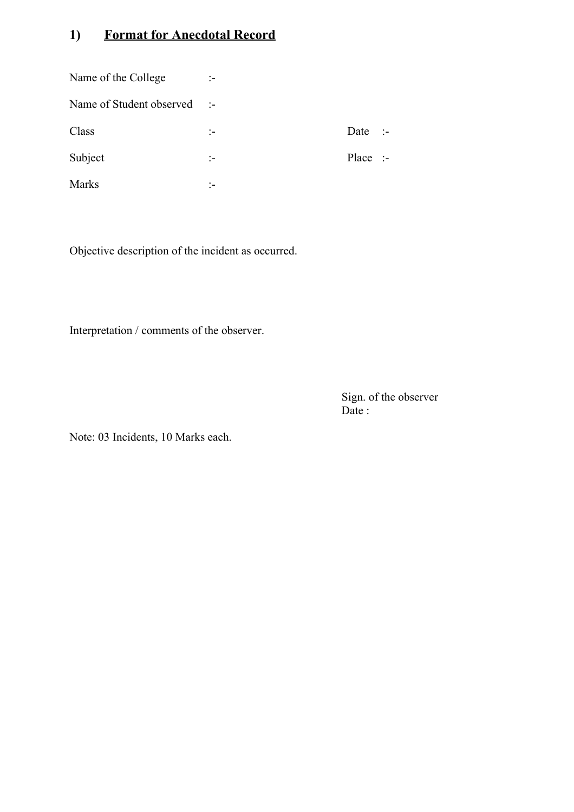## **1) Format for Anecdotal Record**

| Name of the College      | ÷.               |                    |  |
|--------------------------|------------------|--------------------|--|
| Name of Student observed | $\sim$ 14 $\sim$ |                    |  |
| Class                    |                  | Date :-            |  |
| Subject                  | ÷                | Place $\therefore$ |  |
| <b>Marks</b>             |                  |                    |  |

Objective description of the incident as occurred.

Interpretation / comments of the observer.

Sign. of the observer Date :

Note: 03 Incidents, 10 Marks each.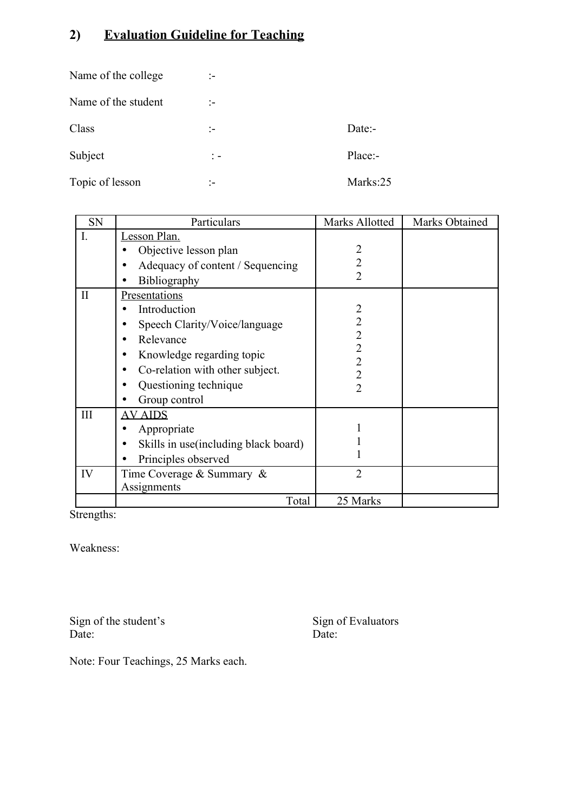## **2) Evaluation Guideline for Teaching**

| Name of the college | ÷.                          |           |
|---------------------|-----------------------------|-----------|
| Name of the student | ÷.                          |           |
| Class               | ÷.                          | $Date: -$ |
| Subject             | $\frac{1}{2}$ $\frac{1}{2}$ | Place:-   |
| Topic of lesson     |                             | Marks:25  |

| SN           | Particulars                           | Marks Allotted                   | Marks Obtained |
|--------------|---------------------------------------|----------------------------------|----------------|
| I.           | Lesson Plan.                          |                                  |                |
|              | Objective lesson plan                 | 2                                |                |
|              | Adequacy of content / Sequencing      | $\overline{2}$                   |                |
|              | <b>Bibliography</b>                   | $\overline{2}$                   |                |
| $\mathbf{I}$ | Presentations                         |                                  |                |
|              | Introduction                          | $\overline{2}$                   |                |
|              | Speech Clarity/Voice/language         | $\overline{2}$                   |                |
|              | Relevance                             | $\overline{2}$                   |                |
|              | Knowledge regarding topic             | $\overline{2}$<br>$\overline{2}$ |                |
|              | Co-relation with other subject.       | $\overline{2}$                   |                |
|              | Questioning technique                 | $\overline{2}$                   |                |
|              | Group control                         |                                  |                |
| III          | <b>AV AIDS</b>                        |                                  |                |
|              | Appropriate                           |                                  |                |
|              | Skills in use (including black board) |                                  |                |
|              | Principles observed                   |                                  |                |
| IV           | Time Coverage & Summary &             | $\overline{2}$                   |                |
|              | Assignments                           |                                  |                |
|              | Total                                 | 25 Marks                         |                |

Strengths:

Weakness:

Sign of the student's Sign of the student's<br>Date: Sign of Evaluators<br>Date: Date:

Note: Four Teachings, 25 Marks each.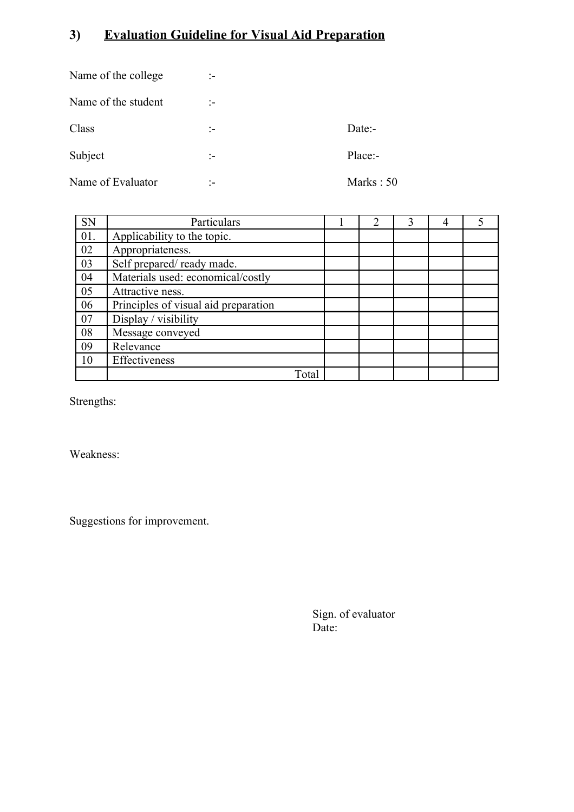## **3) Evaluation Guideline for Visual Aid Preparation**

| Name of the college | ÷. |             |
|---------------------|----|-------------|
| Name of the student | ÷. |             |
| Class               | :- | Date:-      |
| Subject             | ÷. | Place:-     |
| Name of Evaluator   | :- | Marks: $50$ |

| <b>SN</b> | Particulars                          | $\mathcal{D}_{\mathcal{L}}$ | 3 | 4 | 5 |
|-----------|--------------------------------------|-----------------------------|---|---|---|
| 01.       | Applicability to the topic.          |                             |   |   |   |
| 02        | Appropriateness.                     |                             |   |   |   |
| 03        | Self prepared/ready made.            |                             |   |   |   |
| 04        | Materials used: economical/costly    |                             |   |   |   |
| 05        | Attractive ness.                     |                             |   |   |   |
| 06        | Principles of visual aid preparation |                             |   |   |   |
| 07        | Display / visibility                 |                             |   |   |   |
| 08        | Message conveyed                     |                             |   |   |   |
| 09        | Relevance                            |                             |   |   |   |
| 10        | Effectiveness                        |                             |   |   |   |
|           | Total                                |                             |   |   |   |

Strengths:

Weakness:

Suggestions for improvement.

Sign. of evaluator Date: